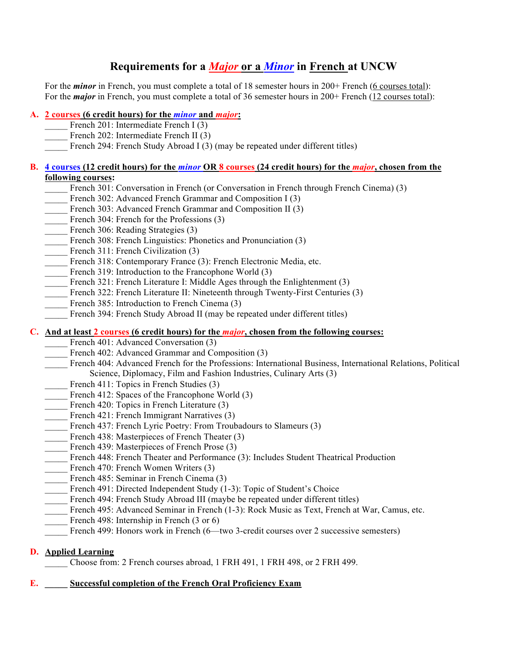# **Requirements for a** *Major* **or a** *Minor* **in French at UNCW**

For the *minor* in French, you must complete a total of 18 semester hours in 200+ French (6 courses total): For the *major* in French, you must complete a total of 36 semester hours in 200+ French (12 courses total):

#### **A. 2 courses (6 credit hours) for the** *minor* **and** *major***:**

- French 201: Intermediate French I (3)
- French 202: Intermediate French II (3)
- French 294: French Study Abroad I (3) (may be repeated under different titles)

#### **B. 4 courses (12 credit hours) for the** *minor* **OR 8 courses (24 credit hours) for the** *major***, chosen from the following courses:**

- French 301: Conversation in French (or Conversation in French through French Cinema) (3)
- French 302: Advanced French Grammar and Composition I (3)
- French 303: Advanced French Grammar and Composition II (3)
- French 304: French for the Professions (3)
- French 306: Reading Strategies (3)
- French 308: French Linguistics: Phonetics and Pronunciation (3)
- French 311: French Civilization (3)
- French 318: Contemporary France (3): French Electronic Media, etc.
- French 319: Introduction to the Francophone World (3)
- French 321: French Literature I: Middle Ages through the Enlightenment (3)
- French 322: French Literature II: Nineteenth through Twenty-First Centuries (3)
- French 385: Introduction to French Cinema (3)
- French 394: French Study Abroad II (may be repeated under different titles)

#### **C. And at least 2 courses (6 credit hours) for the** *major***, chosen from the following courses:**

- French 401: Advanced Conversation (3)
- French 402: Advanced Grammar and Composition (3)
- \_\_\_\_\_ French 404: Advanced French for the Professions: International Business, International Relations, Political Science, Diplomacy, Film and Fashion Industries, Culinary Arts (3)
- French 411: Topics in French Studies (3)
- French 412: Spaces of the Francophone World (3)
- French 420: Topics in French Literature (3)
- French 421: French Immigrant Narratives (3)
- French 437: French Lyric Poetry: From Troubadours to Slameurs (3)
- French 438: Masterpieces of French Theater (3)
- French 439: Masterpieces of French Prose (3)
- French 448: French Theater and Performance (3): Includes Student Theatrical Production
- French 470: French Women Writers (3)
- French 485: Seminar in French Cinema (3)
- French 491: Directed Independent Study (1-3): Topic of Student's Choice
- French 494: French Study Abroad III (maybe be repeated under different titles)
- French 495: Advanced Seminar in French (1-3): Rock Music as Text, French at War, Camus, etc.
- French 498: Internship in French (3 or 6)
- French 499: Honors work in French (6—two 3-credit courses over 2 successive semesters)

#### **D. Applied Learning**

\_\_\_\_\_ Choose from: 2 French courses abroad, 1 FRH 491, 1 FRH 498, or 2 FRH 499.

#### **E. \_\_\_\_\_ Successful completion of the French Oral Proficiency Exam**